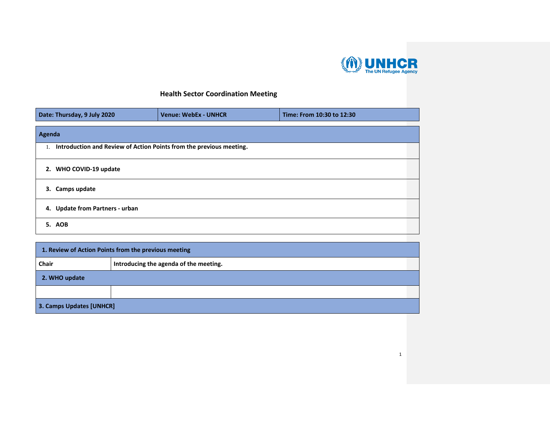

## **Health Sector Coordination Meeting**

| Date: Thursday, 9 July 2020     | <b>Venue: WebEx - UNHCR</b>                                            | Time: From 10:30 to 12:30 |  |
|---------------------------------|------------------------------------------------------------------------|---------------------------|--|
| Agenda                          |                                                                        |                           |  |
|                                 | 1. Introduction and Review of Action Points from the previous meeting. |                           |  |
| 2. WHO COVID-19 update          |                                                                        |                           |  |
| 3. Camps update                 |                                                                        |                           |  |
| 4. Update from Partners - urban |                                                                        |                           |  |
| <b>5. AOB</b>                   |                                                                        |                           |  |

| 1. Review of Action Points from the previous meeting |                                        |
|------------------------------------------------------|----------------------------------------|
| <b>Chair</b>                                         | Introducing the agenda of the meeting. |
| 2. WHO update                                        |                                        |
|                                                      |                                        |
| 3. Camps Updates [UNHCR]                             |                                        |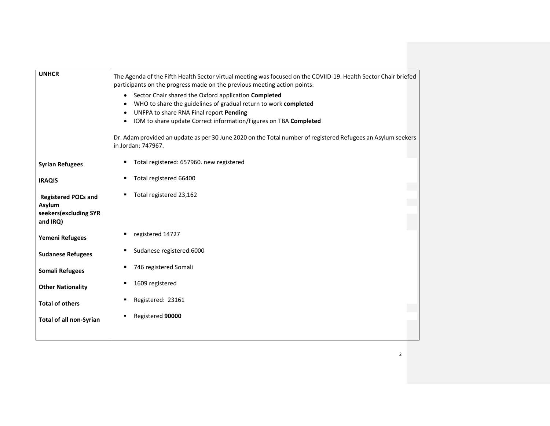| <b>UNHCR</b>                                                              | The Agenda of the Fifth Health Sector virtual meeting was focused on the COVIID-19. Health Sector Chair briefed<br>participants on the progress made on the previous meeting action points:                                                                                                                                                                                           |
|---------------------------------------------------------------------------|---------------------------------------------------------------------------------------------------------------------------------------------------------------------------------------------------------------------------------------------------------------------------------------------------------------------------------------------------------------------------------------|
|                                                                           | Sector Chair shared the Oxford application Completed<br>$\bullet$<br>WHO to share the guidelines of gradual return to work completed<br>UNFPA to share RNA Final report Pending<br>٠<br>IOM to share update Correct information/Figures on TBA Completed<br>$\bullet$<br>Dr. Adam provided an update as per 30 June 2020 on the Total number of registered Refugees an Asylum seekers |
|                                                                           | in Jordan: 747967.                                                                                                                                                                                                                                                                                                                                                                    |
| <b>Syrian Refugees</b>                                                    | Total registered: 657960. new registered<br>٠                                                                                                                                                                                                                                                                                                                                         |
| <b>IRAQIS</b>                                                             | Total registered 66400<br>٠                                                                                                                                                                                                                                                                                                                                                           |
| <b>Registered POCs and</b><br>Asylum<br>seekers(excluding SYR<br>and IRQ) | Total registered 23,162<br>٠                                                                                                                                                                                                                                                                                                                                                          |
| Yemeni Refugees                                                           | registered 14727<br>٠                                                                                                                                                                                                                                                                                                                                                                 |
| <b>Sudanese Refugees</b>                                                  | Sudanese registered.6000<br>٠                                                                                                                                                                                                                                                                                                                                                         |
| <b>Somali Refugees</b>                                                    | 746 registered Somali<br>٠                                                                                                                                                                                                                                                                                                                                                            |
| <b>Other Nationality</b>                                                  | 1609 registered<br>٠                                                                                                                                                                                                                                                                                                                                                                  |
| <b>Total of others</b>                                                    | Registered: 23161<br>٠                                                                                                                                                                                                                                                                                                                                                                |
| <b>Total of all non-Syrian</b>                                            | Registered 90000<br>٠                                                                                                                                                                                                                                                                                                                                                                 |
|                                                                           |                                                                                                                                                                                                                                                                                                                                                                                       |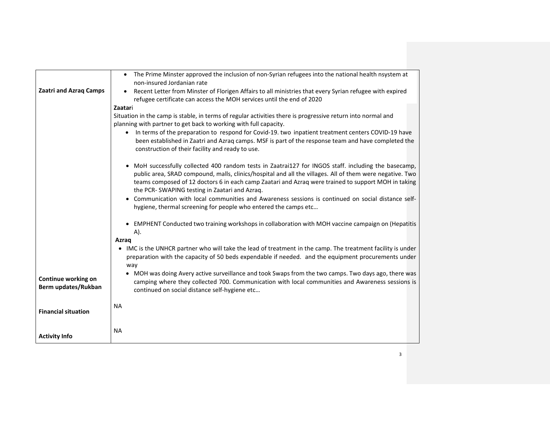|                                            | • The Prime Minster approved the inclusion of non-Syrian refugees into the national health nsystem at                                                                                                                                                                                                                                                                  |
|--------------------------------------------|------------------------------------------------------------------------------------------------------------------------------------------------------------------------------------------------------------------------------------------------------------------------------------------------------------------------------------------------------------------------|
| <b>Zaatri and Azraq Camps</b>              | non-insured Jordanian rate<br>Recent Letter from Minster of Florigen Affairs to all ministries that every Syrian refugee with expired<br>$\bullet$                                                                                                                                                                                                                     |
|                                            | refugee certificate can access the MOH services until the end of 2020                                                                                                                                                                                                                                                                                                  |
|                                            | Zaatari                                                                                                                                                                                                                                                                                                                                                                |
|                                            | Situation in the camp is stable, in terms of regular activities there is progressive return into normal and                                                                                                                                                                                                                                                            |
|                                            | planning with partner to get back to working with full capacity.                                                                                                                                                                                                                                                                                                       |
|                                            | In terms of the preparation to respond for Covid-19. two inpatient treatment centers COVID-19 have<br>$\bullet$<br>been established in Zaatri and Azraq camps. MSF is part of the response team and have completed the                                                                                                                                                 |
|                                            | construction of their facility and ready to use.                                                                                                                                                                                                                                                                                                                       |
|                                            | MoH successfully collected 400 random tests in Zaatrai127 for INGOS staff. including the basecamp,<br>public area, SRAD compound, malls, clinics/hospital and all the villages. All of them were negative. Two<br>teams composed of 12 doctors 6 in each camp Zaatari and Azraq were trained to support MOH in taking<br>the PCR-SWAPING testing in Zaatari and Azraq. |
|                                            | Communication with local communities and Awareness sessions is continued on social distance self-<br>hygiene, thermal screening for people who entered the camps etc                                                                                                                                                                                                   |
|                                            | • EMPHENT Conducted two training workshops in collaboration with MOH vaccine campaign on (Hepatitis<br>A).                                                                                                                                                                                                                                                             |
|                                            | Azrag                                                                                                                                                                                                                                                                                                                                                                  |
|                                            | • IMC is the UNHCR partner who will take the lead of treatment in the camp. The treatment facility is under<br>preparation with the capacity of 50 beds expendable if needed. and the equipment procurements under<br>way                                                                                                                                              |
| Continue working on<br>Berm updates/Rukban | • MOH was doing Avery active surveillance and took Swaps from the two camps. Two days ago, there was<br>camping where they collected 700. Communication with local communities and Awareness sessions is<br>continued on social distance self-hygiene etc                                                                                                              |
| <b>Financial situation</b>                 | <b>NA</b>                                                                                                                                                                                                                                                                                                                                                              |
|                                            | <b>NA</b>                                                                                                                                                                                                                                                                                                                                                              |
| <b>Activity Info</b>                       |                                                                                                                                                                                                                                                                                                                                                                        |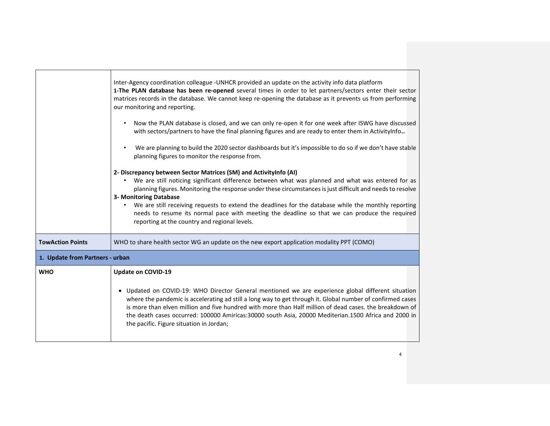|                         | Inter-Agency coordination colleague -UNHCR provided an update on the activity info data platform<br>1-The PLAN database has been re-opened several times in order to let partners/sectors enter their sector<br>matrices records in the database. We cannot keep re-opening the database as it prevents us from performing<br>our monitoring and reporting.<br>Now the PLAN database is closed, and we can only re-open it for one week after ISWG have discussed<br>with sectors/partners to have the final planning figures and are ready to enter them in ActivityInfo<br>We are planning to build the 2020 sector dashboards but it's impossible to do so if we don't have stable<br>planning figures to monitor the response from.<br>2- Discrepancy between Sector Matrices (SM) and ActivityInfo (AI)<br>We are still noticing significant difference between what was planned and what was entered for as<br>$\bullet$<br>planning figures. Monitoring the response under these circumstances is just difficult and needs to resolve<br>3- Monitoring Database<br>We are still receiving requests to extend the deadlines for the database while the monthly reporting<br>needs to resume its normal pace with meeting the deadline so that we can produce the required<br>reporting at the country and regional levels. |  |
|-------------------------|----------------------------------------------------------------------------------------------------------------------------------------------------------------------------------------------------------------------------------------------------------------------------------------------------------------------------------------------------------------------------------------------------------------------------------------------------------------------------------------------------------------------------------------------------------------------------------------------------------------------------------------------------------------------------------------------------------------------------------------------------------------------------------------------------------------------------------------------------------------------------------------------------------------------------------------------------------------------------------------------------------------------------------------------------------------------------------------------------------------------------------------------------------------------------------------------------------------------------------------------------------------------------------------------------------------------------------|--|
| <b>TowAction Points</b> | WHO to share health sector WG an update on the new export application modality PPT (COMO)                                                                                                                                                                                                                                                                                                                                                                                                                                                                                                                                                                                                                                                                                                                                                                                                                                                                                                                                                                                                                                                                                                                                                                                                                                        |  |
|                         | 1. Update from Partners - urban                                                                                                                                                                                                                                                                                                                                                                                                                                                                                                                                                                                                                                                                                                                                                                                                                                                                                                                                                                                                                                                                                                                                                                                                                                                                                                  |  |
| <b>WHO</b>              | <b>Update on COVID-19</b><br>• Updated on COVID-19: WHO Director General mentioned we are experience global different situation<br>where the pandemic is accelerating ad still a long way to get through it. Global number of confirmed cases<br>is more than elven million and five hundred with more than Half million of dead cases, the breakdown of<br>the death cases occurred: 100000 Amiricas:30000 south Asia, 20000 Mediterian.1500 Africa and 2000 in<br>the pacific. Figure situation in Jordan;                                                                                                                                                                                                                                                                                                                                                                                                                                                                                                                                                                                                                                                                                                                                                                                                                     |  |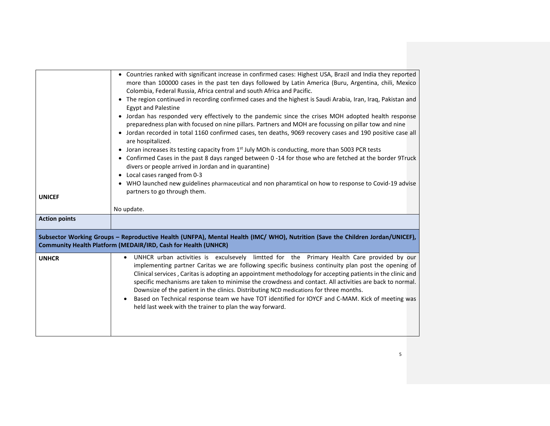| <b>UNICEF</b>        | • Countries ranked with significant increase in confirmed cases: Highest USA, Brazil and India they reported<br>more than 100000 cases in the past ten days followed by Latin America (Buru, Argentina, chili, Mexico<br>Colombia, Federal Russia, Africa central and south Africa and Pacific.<br>• The region continued in recording confirmed cases and the highest is Saudi Arabia, Iran, Iraq, Pakistan and<br><b>Egypt and Palestine</b><br>• Jordan has responded very effectively to the pandemic since the crises MOH adopted health response<br>preparedness plan with focused on nine pillars. Partners and MOH are focussing on pillar tow and nine<br>• Jordan recorded in total 1160 confirmed cases, ten deaths, 9069 recovery cases and 190 positive case all<br>are hospitalized.<br>• Joran increases its testing capacity from 1 <sup>st</sup> July MOh is conducting, more than 5003 PCR tests<br>• Confirmed Cases in the past 8 days ranged between 0 -14 for those who are fetched at the border 9Truck<br>divers or people arrived in Jordan and in quarantine)<br>• Local cases ranged from 0-3<br>• WHO launched new guidelines pharmaceutical and non pharamtical on how to response to Covid-19 advise<br>partners to go through them.<br>No update. |
|----------------------|----------------------------------------------------------------------------------------------------------------------------------------------------------------------------------------------------------------------------------------------------------------------------------------------------------------------------------------------------------------------------------------------------------------------------------------------------------------------------------------------------------------------------------------------------------------------------------------------------------------------------------------------------------------------------------------------------------------------------------------------------------------------------------------------------------------------------------------------------------------------------------------------------------------------------------------------------------------------------------------------------------------------------------------------------------------------------------------------------------------------------------------------------------------------------------------------------------------------------------------------------------------------------------|
| <b>Action points</b> |                                                                                                                                                                                                                                                                                                                                                                                                                                                                                                                                                                                                                                                                                                                                                                                                                                                                                                                                                                                                                                                                                                                                                                                                                                                                                  |
|                      | Subsector Working Groups - Reproductive Health (UNFPA), Mental Health (IMC/WHO), Nutrition (Save the Children Jordan/UNICEF),<br>Community Health Platform (MEDAIR/IRD, Cash for Health (UNHCR)                                                                                                                                                                                                                                                                                                                                                                                                                                                                                                                                                                                                                                                                                                                                                                                                                                                                                                                                                                                                                                                                                  |
| <b>UNHCR</b>         | UNHCR urban activities is exculsevely limtted for the Primary Health Care provided by our<br>$\bullet$<br>implementing partner Caritas we are following specific business continuity plan post the opening of<br>Clinical services, Caritas is adopting an appointment methodology for accepting patients in the clinic and<br>specific mechanisms are taken to minimise the crowdness and contact. All activities are back to normal.<br>Downsize of the patient in the clinics. Distributing NCD medications for three months.<br>Based on Technical response team we have TOT identified for IOYCF and C-MAM. Kick of meeting was<br>held last week with the trainer to plan the way forward.                                                                                                                                                                                                                                                                                                                                                                                                                                                                                                                                                                                 |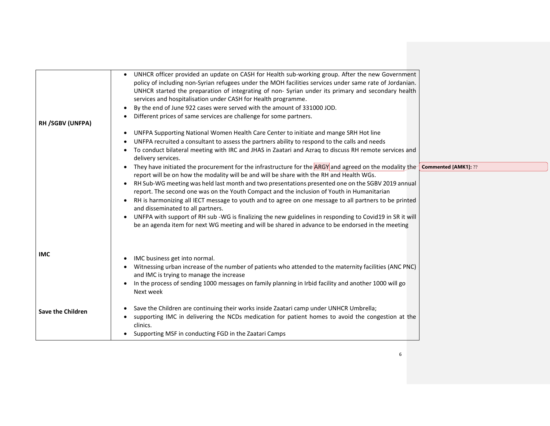| <b>RH /SGBV (UNFPA)</b>  | UNHCR officer provided an update on CASH for Health sub-working group. After the new Government<br>policy of including non-Syrian refugees under the MOH facilities services under same rate of Jordanian.<br>UNHCR started the preparation of integrating of non- Syrian under its primary and secondary health<br>services and hospitalisation under CASH for Health programme.<br>By the end of June 922 cases were served with the amount of 331000 JOD.<br>$\bullet$<br>Different prices of same services are challenge for some partners. |                      |
|--------------------------|-------------------------------------------------------------------------------------------------------------------------------------------------------------------------------------------------------------------------------------------------------------------------------------------------------------------------------------------------------------------------------------------------------------------------------------------------------------------------------------------------------------------------------------------------|----------------------|
|                          | UNFPA Supporting National Women Health Care Center to initiate and mange SRH Hot line<br>$\bullet$<br>UNFPA recruited a consultant to assess the partners ability to respond to the calls and needs<br>To conduct bilateral meeting with IRC and JHAS in Zaatari and Azraq to discuss RH remote services and<br>$\bullet$<br>delivery services.                                                                                                                                                                                                 |                      |
|                          | • They have initiated the procurement for the infrastructure for the ARGY and agreed on the modality the                                                                                                                                                                                                                                                                                                                                                                                                                                        | Commented [AMK1]: ?? |
|                          | report will be on how the modality will be and will be share with the RH and Health WGs.                                                                                                                                                                                                                                                                                                                                                                                                                                                        |                      |
|                          | RH Sub-WG meeting was held last month and two presentations presented one on the SGBV 2019 annual<br>$\bullet$<br>report. The second one was on the Youth Compact and the inclusion of Youth in Humanitarian                                                                                                                                                                                                                                                                                                                                    |                      |
|                          | RH is harmonizing all IECT message to youth and to agree on one message to all partners to be printed<br>and disseminated to all partners.                                                                                                                                                                                                                                                                                                                                                                                                      |                      |
|                          | UNFPA with support of RH sub -WG is finalizing the new guidelines in responding to Covid19 in SR it will<br>be an agenda item for next WG meeting and will be shared in advance to be endorsed in the meeting                                                                                                                                                                                                                                                                                                                                   |                      |
| <b>IMC</b>               | IMC business get into normal.<br>Witnessing urban increase of the number of patients who attended to the maternity facilities (ANC PNC)                                                                                                                                                                                                                                                                                                                                                                                                         |                      |
|                          | and IMC is trying to manage the increase                                                                                                                                                                                                                                                                                                                                                                                                                                                                                                        |                      |
|                          | In the process of sending 1000 messages on family planning in Irbid facility and another 1000 will go<br>Next week                                                                                                                                                                                                                                                                                                                                                                                                                              |                      |
| <b>Save the Children</b> | Save the Children are continuing their works inside Zaatari camp under UNHCR Umbrella;<br>supporting IMC in delivering the NCDs medication for patient homes to avoid the congestion at the<br>clinics.                                                                                                                                                                                                                                                                                                                                         |                      |
|                          | Supporting MSF in conducting FGD in the Zaatari Camps                                                                                                                                                                                                                                                                                                                                                                                                                                                                                           |                      |
|                          |                                                                                                                                                                                                                                                                                                                                                                                                                                                                                                                                                 |                      |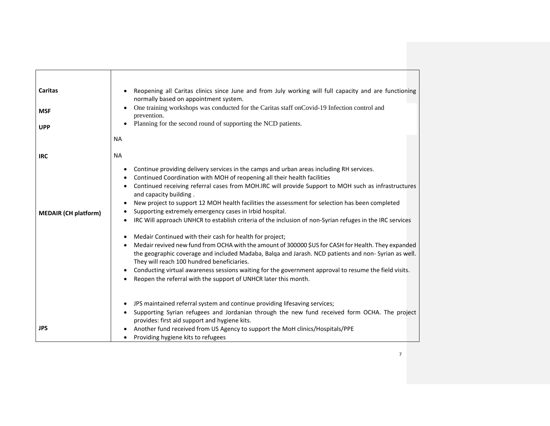| Caritas<br><b>MSF</b><br><b>UPP</b> | Reopening all Caritas clinics since June and from July working will full capacity and are functioning<br>normally based on appointment system.<br>One training workshops was conducted for the Caritas staff on Covid-19 Infection control and<br>prevention.<br>Planning for the second round of supporting the NCD patients.<br><b>NA</b>                                                                                                                                                                                                                                                                                                                                                                                                                                                                                                                                                                                                                                                                                                                                                      |
|-------------------------------------|--------------------------------------------------------------------------------------------------------------------------------------------------------------------------------------------------------------------------------------------------------------------------------------------------------------------------------------------------------------------------------------------------------------------------------------------------------------------------------------------------------------------------------------------------------------------------------------------------------------------------------------------------------------------------------------------------------------------------------------------------------------------------------------------------------------------------------------------------------------------------------------------------------------------------------------------------------------------------------------------------------------------------------------------------------------------------------------------------|
| <b>IRC</b>                          | <b>NA</b>                                                                                                                                                                                                                                                                                                                                                                                                                                                                                                                                                                                                                                                                                                                                                                                                                                                                                                                                                                                                                                                                                        |
| <b>MEDAIR (CH platform)</b>         | Continue providing delivery services in the camps and urban areas including RH services.<br>$\bullet$<br>Continued Coordination with MOH of reopening all their health facilities<br>Continued receiving referral cases from MOH.IRC will provide Support to MOH such as infrastructures<br>and capacity building.<br>New project to support 12 MOH health facilities the assessment for selection has been completed<br>Supporting extremely emergency cases in Irbid hospital.<br>IRC Will approach UNHCR to establish criteria of the inclusion of non-Syrian refuges in the IRC services<br>Medair Continued with their cash for health for project;<br>Medair revived new fund from OCHA with the amount of 300000 \$US for CASH for Health. They expanded<br>the geographic coverage and included Madaba, Balqa and Jarash. NCD patients and non-Syrian as well.<br>They will reach 100 hundred beneficiaries.<br>Conducting virtual awareness sessions waiting for the government approval to resume the field visits.<br>Reopen the referral with the support of UNHCR later this month. |
| <b>JPS</b>                          | JPS maintained referral system and continue providing lifesaving services;<br>$\bullet$<br>Supporting Syrian refugees and Jordanian through the new fund received form OCHA. The project<br>provides: first aid support and hygiene kits.<br>Another fund received from US Agency to support the MoH clinics/Hospitals/PPE<br>Providing hygiene kits to refugees<br>$\bullet$                                                                                                                                                                                                                                                                                                                                                                                                                                                                                                                                                                                                                                                                                                                    |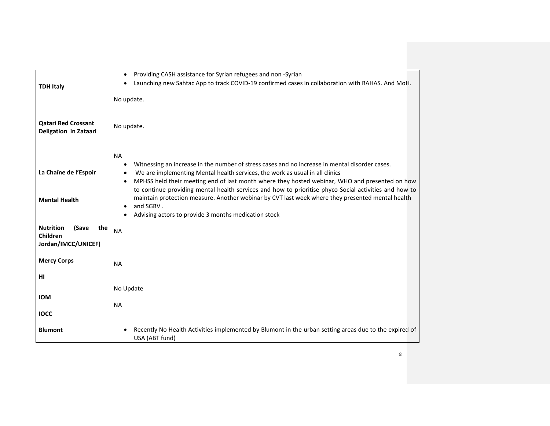|                                  | Providing CASH assistance for Syrian refugees and non-Syrian<br>$\bullet$                                                                                                                                 |
|----------------------------------|-----------------------------------------------------------------------------------------------------------------------------------------------------------------------------------------------------------|
| <b>TDH Italy</b>                 | Launching new Sahtac App to track COVID-19 confirmed cases in collaboration with RAHAS. And MoH.<br>$\bullet$                                                                                             |
|                                  |                                                                                                                                                                                                           |
|                                  | No update.                                                                                                                                                                                                |
|                                  |                                                                                                                                                                                                           |
| <b>Qatari Red Crossant</b>       | No update.                                                                                                                                                                                                |
| Deligation in Zataari            |                                                                                                                                                                                                           |
|                                  |                                                                                                                                                                                                           |
|                                  | <b>NA</b>                                                                                                                                                                                                 |
|                                  | Witnessing an increase in the number of stress cases and no increase in mental disorder cases.<br>$\bullet$                                                                                               |
| La Chaîne de l'Espoir            | We are implementing Mental health services, the work as usual in all clinics<br>$\bullet$                                                                                                                 |
|                                  | MPHSS held their meeting end of last month where they hosted webinar, WHO and presented on how<br>$\bullet$                                                                                               |
|                                  | to continue providing mental health services and how to prioritise phyco-Social activities and how to<br>maintain protection measure. Another webinar by CVT last week where they presented mental health |
| <b>Mental Health</b>             | and SGBV.<br>٠                                                                                                                                                                                            |
|                                  | Advising actors to provide 3 months medication stock                                                                                                                                                      |
| <b>Nutrition</b><br>(Save<br>the |                                                                                                                                                                                                           |
| Children                         | <b>NA</b>                                                                                                                                                                                                 |
| Jordan/IMCC/UNICEF)              |                                                                                                                                                                                                           |
|                                  |                                                                                                                                                                                                           |
| <b>Mercy Corps</b>               | <b>NA</b>                                                                                                                                                                                                 |
| HI                               |                                                                                                                                                                                                           |
|                                  | No Update                                                                                                                                                                                                 |
| <b>IOM</b>                       |                                                                                                                                                                                                           |
|                                  | <b>NA</b>                                                                                                                                                                                                 |
| <b>IOCC</b>                      |                                                                                                                                                                                                           |
| <b>Blumont</b>                   | Recently No Health Activities implemented by Blumont in the urban setting areas due to the expired of                                                                                                     |
|                                  | USA (ABT fund)                                                                                                                                                                                            |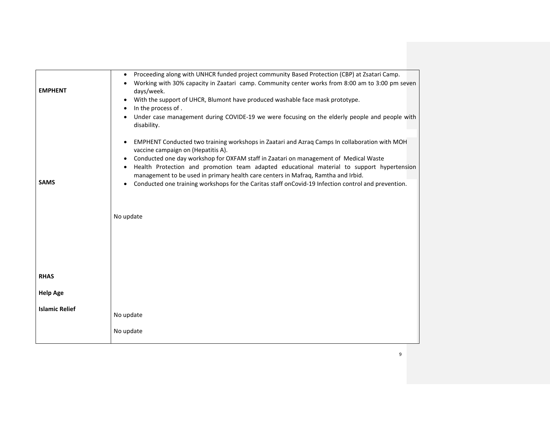|                       | Proceeding along with UNHCR funded project community Based Protection (CBP) at Zsatari Camp.<br>$\bullet$                                                                      |
|-----------------------|--------------------------------------------------------------------------------------------------------------------------------------------------------------------------------|
| <b>EMPHENT</b>        | Working with 30% capacity in Zaatari camp. Community center works from 8:00 am to 3:00 pm seven<br>days/week.                                                                  |
|                       | With the support of UHCR, Blumont have produced washable face mask prototype.<br>$\bullet$                                                                                     |
|                       | In the process of.<br>$\bullet$                                                                                                                                                |
|                       | Under case management during COVIDE-19 we were focusing on the elderly people and people with<br>disability.                                                                   |
|                       | EMPHENT Conducted two training workshops in Zaatari and Azraq Camps In collaboration with MOH<br>$\bullet$<br>vaccine campaign on (Hepatitis A).                               |
|                       | Conducted one day workshop for OXFAM staff in Zaatari on management of Medical Waste<br>٠                                                                                      |
|                       | Health Protection and promotion team adapted educational material to support hypertension<br>management to be used in primary health care centers in Mafraq, Ramtha and Irbid. |
| <b>SAMS</b>           | Conducted one training workshops for the Caritas staff onCovid-19 Infection control and prevention.                                                                            |
|                       |                                                                                                                                                                                |
|                       |                                                                                                                                                                                |
|                       | No update                                                                                                                                                                      |
|                       |                                                                                                                                                                                |
|                       |                                                                                                                                                                                |
|                       |                                                                                                                                                                                |
|                       |                                                                                                                                                                                |
| <b>RHAS</b>           |                                                                                                                                                                                |
| <b>Help Age</b>       |                                                                                                                                                                                |
| <b>Islamic Relief</b> |                                                                                                                                                                                |
|                       | No update                                                                                                                                                                      |
|                       | No update                                                                                                                                                                      |
|                       |                                                                                                                                                                                |